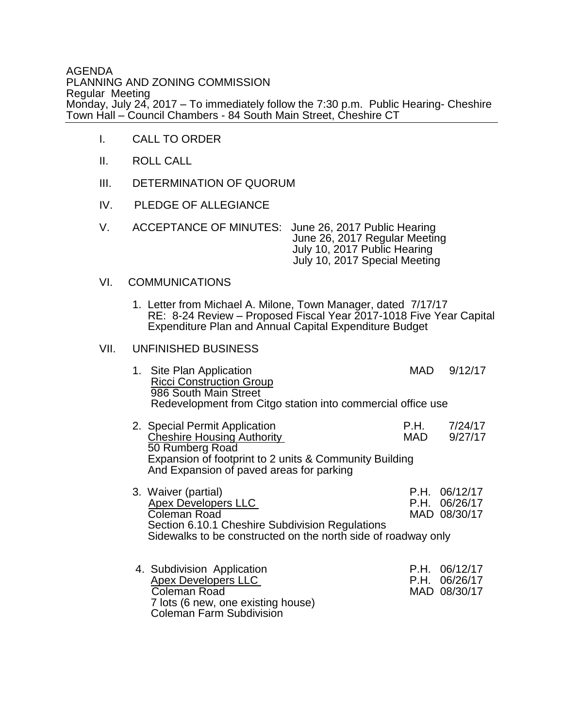AGENDA PLANNING AND ZONING COMMISSION Regular Meeting Monday, July 24, 2017 – To immediately follow the 7:30 p.m. Public Hearing- Cheshire Town Hall – Council Chambers - 84 South Main Street, Cheshire CT

- I. CALL TO ORDER
- II. ROLL CALL
- III. DETERMINATION OF QUORUM
- IV. PLEDGE OF ALLEGIANCE
- V. ACCEPTANCE OF MINUTES: June 26, 2017 Public Hearing June 26, 2017 Regular Meeting July 10, 2017 Public Hearing July 10, 2017 Special Meeting

## VI. COMMUNICATIONS

1. Letter from Michael A. Milone, Town Manager, dated 7/17/17 RE: 8-24 Review – Proposed Fiscal Year 2017-1018 Five Year Capital Expenditure Plan and Annual Capital Expenditure Budget

## VII. UNFINISHED BUSINESS

| 1. Site Plan Application<br><b>Ricci Construction Group</b> | MAD. | 9/12/17 |
|-------------------------------------------------------------|------|---------|
| 986 South Main Street                                       |      |         |
| Redevelopment from Citgo station into commercial office use |      |         |

- 2. Special Permit Application<br>
Cheshire Housing Authority<br>
MAD 9/27/17 Cheshire Housing Authority 50 Rumberg Road Expansion of footprint to 2 units & Community Building And Expansion of paved areas for parking
- 3. Waiver (partial) <br>Apex Developers II C C B R P.H. 06/26/17 Apex Developers LLC P.H. 06/26/17 Coleman Road Section 6.10.1 Cheshire Subdivision Regulations Sidewalks to be constructed on the north side of roadway only
- 4. Subdivision Application <br>Apex Developers LLC <br>P.H. 06/26/17 Apex Developers LLC<br>
Coleman Road<br>
Coleman Road<br>
P.H. 06/26/17 Coleman Road 7 lots (6 new, one existing house) Coleman Farm Subdivision